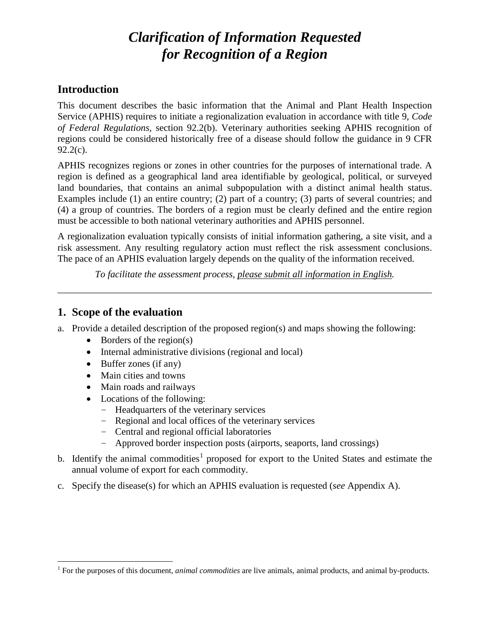# *Clarification of Information Requested for Recognition of a Region*

### **Introduction**

This document describes the basic information that the Animal and Plant Health Inspection Service (APHIS) requires to initiate a regionalization evaluation in accordance with title 9, *Code of Federal Regulations,* section 92.2(b). Veterinary authorities seeking APHIS recognition of regions could be considered historically free of a disease should follow the guidance in 9 CFR 92.2(c).

APHIS recognizes regions or zones in other countries for the purposes of international trade. A region is defined as a geographical land area identifiable by geological, political, or surveyed land boundaries, that contains an animal subpopulation with a distinct animal health status. Examples include (1) an entire country; (2) part of a country; (3) parts of several countries; and (4) a group of countries. The borders of a region must be clearly defined and the entire region must be accessible to both national veterinary authorities and APHIS personnel.

A regionalization evaluation typically consists of initial information gathering, a site visit, and a risk assessment. Any resulting regulatory action must reflect the risk assessment conclusions. The pace of an APHIS evaluation largely depends on the quality of the information received.

*To facilitate the assessment process, please submit all information in English.*

### **1. Scope of the evaluation**

- a. Provide a detailed description of the proposed region(s) and maps showing the following:
	- Borders of the region(s)
	- Internal administrative divisions (regional and local)
	- Buffer zones (if any)
	- Main cities and towns
	- Main roads and railways
	- Locations of the following:
		- − Headquarters of the veterinary services
		- − Regional and local offices of the veterinary services
		- − Central and regional official laboratories
		- − Approved border inspection posts (airports, seaports, land crossings)
- b. Identify the animal commodities<sup>[1](#page-0-0)</sup> proposed for export to the United States and estimate the annual volume of export for each commodity.
- c. Specify the disease(s) for which an APHIS evaluation is requested (*see* Appendix A).

<span id="page-0-0"></span><sup>&</sup>lt;sup>1</sup> For the purposes of this document, *animal commodities* are live animals, animal products, and animal by-products.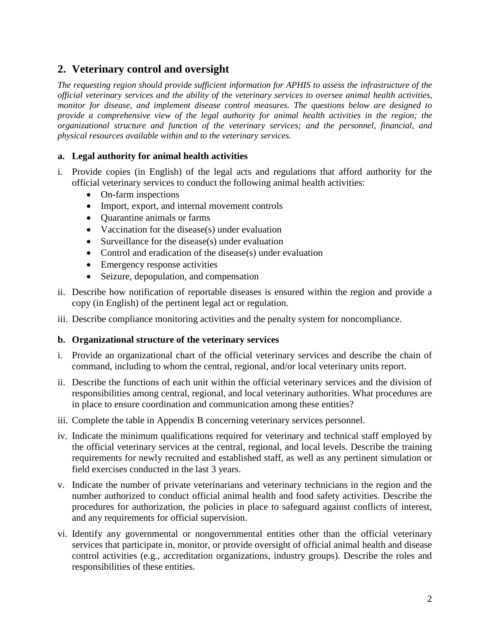# **2. Veterinary control and oversight**

*The requesting region should provide sufficient information for APHIS to assess the infrastructure of the official veterinary services and the ability of the veterinary services to oversee animal health activities, monitor for disease, and implement disease control measures. The questions below are designed to provide a comprehensive view of the legal authority for animal health activities in the region; the organizational structure and function of the veterinary services; and the personnel, financial, and physical resources available within and to the veterinary services.*

### **a. Legal authority for animal health activities**

- i. Provide copies (in English) of the legal acts and regulations that afford authority for the official veterinary services to conduct the following animal health activities:
	- On-farm inspections
	- Import, export, and internal movement controls
	- Quarantine animals or farms
	- Vaccination for the disease(s) under evaluation
	- Surveillance for the disease(s) under evaluation
	- Control and eradication of the disease(s) under evaluation
	- Emergency response activities
	- Seizure, depopulation, and compensation
- ii. Describe how notification of reportable diseases is ensured within the region and provide a copy (in English) of the pertinent legal act or regulation.
- iii. Describe compliance monitoring activities and the penalty system for noncompliance.

#### **b. Organizational structure of the veterinary services**

- i. Provide an organizational chart of the official veterinary services and describe the chain of command, including to whom the central, regional, and/or local veterinary units report.
- ii. Describe the functions of each unit within the official veterinary services and the division of responsibilities among central, regional, and local veterinary authorities. What procedures are in place to ensure coordination and communication among these entities?
- iii. Complete the table in Appendix B concerning veterinary services personnel.
- iv. Indicate the minimum qualifications required for veterinary and technical staff employed by the official veterinary services at the central, regional, and local levels. Describe the training requirements for newly recruited and established staff, as well as any pertinent simulation or field exercises conducted in the last 3 years.
- v. Indicate the number of private veterinarians and veterinary technicians in the region and the number authorized to conduct official animal health and food safety activities. Describe the procedures for authorization, the policies in place to safeguard against conflicts of interest, and any requirements for official supervision.
- vi. Identify any governmental or nongovernmental entities other than the official veterinary services that participate in, monitor, or provide oversight of official animal health and disease control activities (e.g., accreditation organizations, industry groups). Describe the roles and responsibilities of these entities.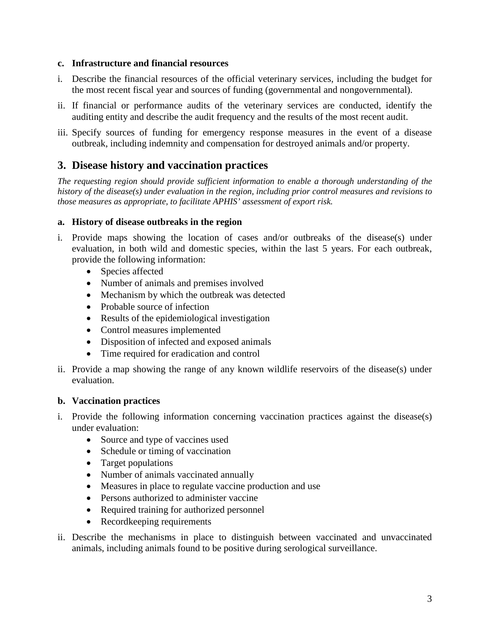#### **c. Infrastructure and financial resources**

- i. Describe the financial resources of the official veterinary services, including the budget for the most recent fiscal year and sources of funding (governmental and nongovernmental).
- ii. If financial or performance audits of the veterinary services are conducted, identify the auditing entity and describe the audit frequency and the results of the most recent audit.
- iii. Specify sources of funding for emergency response measures in the event of a disease outbreak, including indemnity and compensation for destroyed animals and/or property.

## **3. Disease history and vaccination practices**

*The requesting region should provide sufficient information to enable a thorough understanding of the history of the disease(s) under evaluation in the region, including prior control measures and revisions to those measures as appropriate, to facilitate APHIS' assessment of export risk.* 

#### **a. History of disease outbreaks in the region**

- i. Provide maps showing the location of cases and/or outbreaks of the disease(s) under evaluation, in both wild and domestic species, within the last 5 years. For each outbreak, provide the following information:
	- Species affected
	- Number of animals and premises involved
	- Mechanism by which the outbreak was detected
	- Probable source of infection
	- Results of the epidemiological investigation
	- Control measures implemented
	- Disposition of infected and exposed animals
	- Time required for eradication and control
- ii. Provide a map showing the range of any known wildlife reservoirs of the disease(s) under evaluation.

### **b. Vaccination practices**

- i. Provide the following information concerning vaccination practices against the disease(s) under evaluation:
	- Source and type of vaccines used
	- Schedule or timing of vaccination
	- Target populations
	- Number of animals vaccinated annually
	- Measures in place to regulate vaccine production and use
	- Persons authorized to administer vaccine
	- Required training for authorized personnel
	- Recordkeeping requirements
- ii. Describe the mechanisms in place to distinguish between vaccinated and unvaccinated animals, including animals found to be positive during serological surveillance.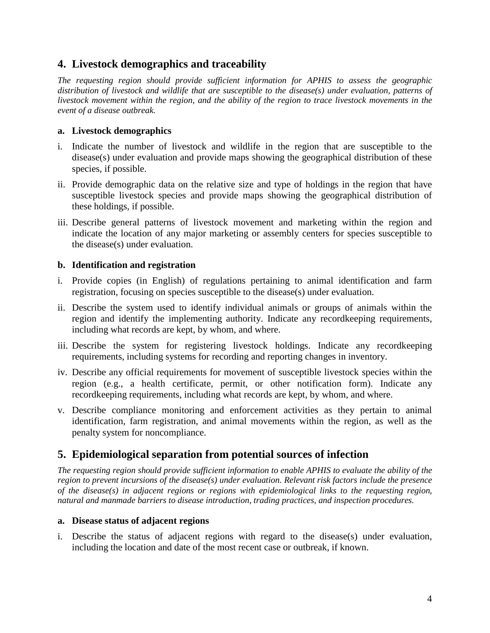# **4. Livestock demographics and traceability**

*The requesting region should provide sufficient information for APHIS to assess the geographic distribution of livestock and wildlife that are susceptible to the disease(s) under evaluation, patterns of livestock movement within the region, and the ability of the region to trace livestock movements in the event of a disease outbreak.*

### **a. Livestock demographics**

- i. Indicate the number of livestock and wildlife in the region that are susceptible to the disease(s) under evaluation and provide maps showing the geographical distribution of these species, if possible.
- ii. Provide demographic data on the relative size and type of holdings in the region that have susceptible livestock species and provide maps showing the geographical distribution of these holdings, if possible.
- iii. Describe general patterns of livestock movement and marketing within the region and indicate the location of any major marketing or assembly centers for species susceptible to the disease(s) under evaluation.

#### **b. Identification and registration**

- i. Provide copies (in English) of regulations pertaining to animal identification and farm registration, focusing on species susceptible to the disease(s) under evaluation.
- ii. Describe the system used to identify individual animals or groups of animals within the region and identify the implementing authority. Indicate any recordkeeping requirements, including what records are kept, by whom, and where.
- iii. Describe the system for registering livestock holdings. Indicate any recordkeeping requirements, including systems for recording and reporting changes in inventory.
- iv. Describe any official requirements for movement of susceptible livestock species within the region (e.g., a health certificate, permit, or other notification form). Indicate any recordkeeping requirements, including what records are kept, by whom, and where.
- v. Describe compliance monitoring and enforcement activities as they pertain to animal identification, farm registration, and animal movements within the region, as well as the penalty system for noncompliance.

## **5. Epidemiological separation from potential sources of infection**

*The requesting region should provide sufficient information to enable APHIS to evaluate the ability of the region to prevent incursions of the disease(s) under evaluation. Relevant risk factors include the presence of the disease(s) in adjacent regions or regions with epidemiological links to the requesting region, natural and manmade barriers to disease introduction, trading practices, and inspection procedures.* 

#### **a. Disease status of adjacent regions**

i. Describe the status of adjacent regions with regard to the disease(s) under evaluation, including the location and date of the most recent case or outbreak, if known.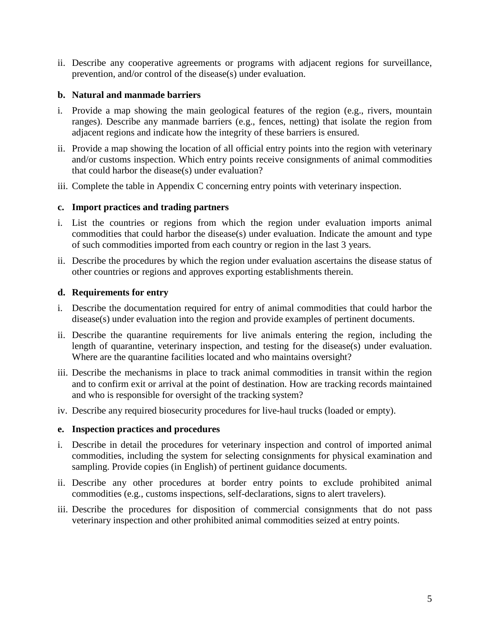ii. Describe any cooperative agreements or programs with adjacent regions for surveillance, prevention, and/or control of the disease(s) under evaluation.

#### **b. Natural and manmade barriers**

- i. Provide a map showing the main geological features of the region (e.g., rivers, mountain ranges). Describe any manmade barriers (e.g., fences, netting) that isolate the region from adjacent regions and indicate how the integrity of these barriers is ensured.
- ii. Provide a map showing the location of all official entry points into the region with veterinary and/or customs inspection. Which entry points receive consignments of animal commodities that could harbor the disease(s) under evaluation?
- iii. Complete the table in Appendix C concerning entry points with veterinary inspection.

#### **c. Import practices and trading partners**

- i. List the countries or regions from which the region under evaluation imports animal commodities that could harbor the disease(s) under evaluation. Indicate the amount and type of such commodities imported from each country or region in the last 3 years.
- ii. Describe the procedures by which the region under evaluation ascertains the disease status of other countries or regions and approves exporting establishments therein.

#### **d. Requirements for entry**

- i. Describe the documentation required for entry of animal commodities that could harbor the disease(s) under evaluation into the region and provide examples of pertinent documents.
- ii. Describe the quarantine requirements for live animals entering the region, including the length of quarantine, veterinary inspection, and testing for the disease(s) under evaluation. Where are the quarantine facilities located and who maintains oversight?
- iii. Describe the mechanisms in place to track animal commodities in transit within the region and to confirm exit or arrival at the point of destination. How are tracking records maintained and who is responsible for oversight of the tracking system?
- iv. Describe any required biosecurity procedures for live-haul trucks (loaded or empty).

### **e. Inspection practices and procedures**

- i. Describe in detail the procedures for veterinary inspection and control of imported animal commodities, including the system for selecting consignments for physical examination and sampling. Provide copies (in English) of pertinent guidance documents.
- ii. Describe any other procedures at border entry points to exclude prohibited animal commodities (e.g., customs inspections, self-declarations, signs to alert travelers).
- iii. Describe the procedures for disposition of commercial consignments that do not pass veterinary inspection and other prohibited animal commodities seized at entry points.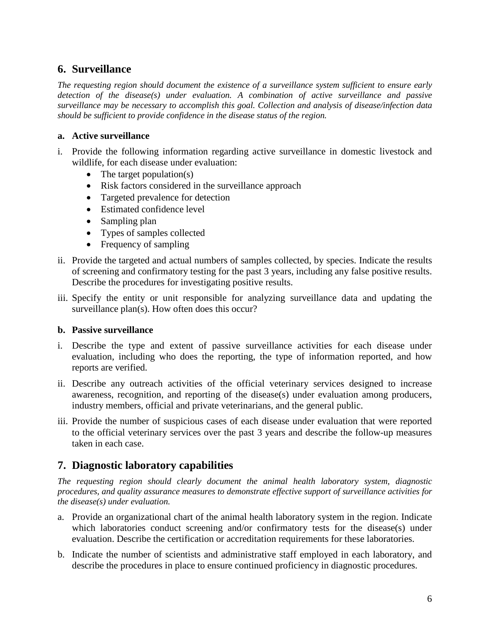# **6. Surveillance**

*The requesting region should document the existence of a surveillance system sufficient to ensure early detection of the disease(s) under evaluation. A combination of active surveillance and passive surveillance may be necessary to accomplish this goal. Collection and analysis of disease/infection data should be sufficient to provide confidence in the disease status of the region.*

### **a. Active surveillance**

- i. Provide the following information regarding active surveillance in domestic livestock and wildlife, for each disease under evaluation:
	- The target population(s)
	- Risk factors considered in the surveillance approach
	- Targeted prevalence for detection
	- Estimated confidence level
	- Sampling plan
	- Types of samples collected
	- Frequency of sampling
- ii. Provide the targeted and actual numbers of samples collected, by species. Indicate the results of screening and confirmatory testing for the past 3 years, including any false positive results. Describe the procedures for investigating positive results.
- iii. Specify the entity or unit responsible for analyzing surveillance data and updating the surveillance plan(s). How often does this occur?

### **b. Passive surveillance**

- i. Describe the type and extent of passive surveillance activities for each disease under evaluation, including who does the reporting, the type of information reported, and how reports are verified.
- ii. Describe any outreach activities of the official veterinary services designed to increase awareness, recognition, and reporting of the disease(s) under evaluation among producers, industry members, official and private veterinarians, and the general public.
- iii. Provide the number of suspicious cases of each disease under evaluation that were reported to the official veterinary services over the past 3 years and describe the follow-up measures taken in each case.

# **7. Diagnostic laboratory capabilities**

*The requesting region should clearly document the animal health laboratory system, diagnostic procedures, and quality assurance measures to demonstrate effective support of surveillance activities for the disease(s) under evaluation.*

- a. Provide an organizational chart of the animal health laboratory system in the region. Indicate which laboratories conduct screening and/or confirmatory tests for the disease(s) under evaluation. Describe the certification or accreditation requirements for these laboratories.
- b. Indicate the number of scientists and administrative staff employed in each laboratory, and describe the procedures in place to ensure continued proficiency in diagnostic procedures.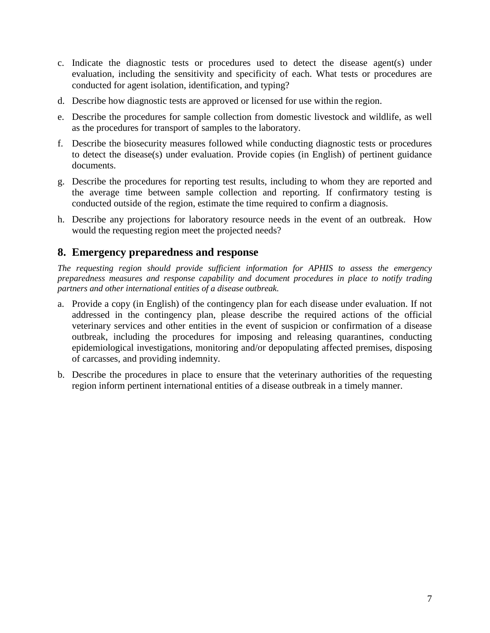- c. Indicate the diagnostic tests or procedures used to detect the disease agent(s) under evaluation, including the sensitivity and specificity of each. What tests or procedures are conducted for agent isolation, identification, and typing?
- d. Describe how diagnostic tests are approved or licensed for use within the region.
- e. Describe the procedures for sample collection from domestic livestock and wildlife, as well as the procedures for transport of samples to the laboratory.
- f. Describe the biosecurity measures followed while conducting diagnostic tests or procedures to detect the disease(s) under evaluation. Provide copies (in English) of pertinent guidance documents.
- g. Describe the procedures for reporting test results, including to whom they are reported and the average time between sample collection and reporting. If confirmatory testing is conducted outside of the region, estimate the time required to confirm a diagnosis.
- h. Describe any projections for laboratory resource needs in the event of an outbreak. How would the requesting region meet the projected needs?

## **8. Emergency preparedness and response**

*The requesting region should provide sufficient information for APHIS to assess the emergency preparedness measures and response capability and document procedures in place to notify trading partners and other international entities of a disease outbreak.* 

- a. Provide a copy (in English) of the contingency plan for each disease under evaluation. If not addressed in the contingency plan, please describe the required actions of the official veterinary services and other entities in the event of suspicion or confirmation of a disease outbreak, including the procedures for imposing and releasing quarantines, conducting epidemiological investigations, monitoring and/or depopulating affected premises, disposing of carcasses, and providing indemnity.
- b. Describe the procedures in place to ensure that the veterinary authorities of the requesting region inform pertinent international entities of a disease outbreak in a timely manner.